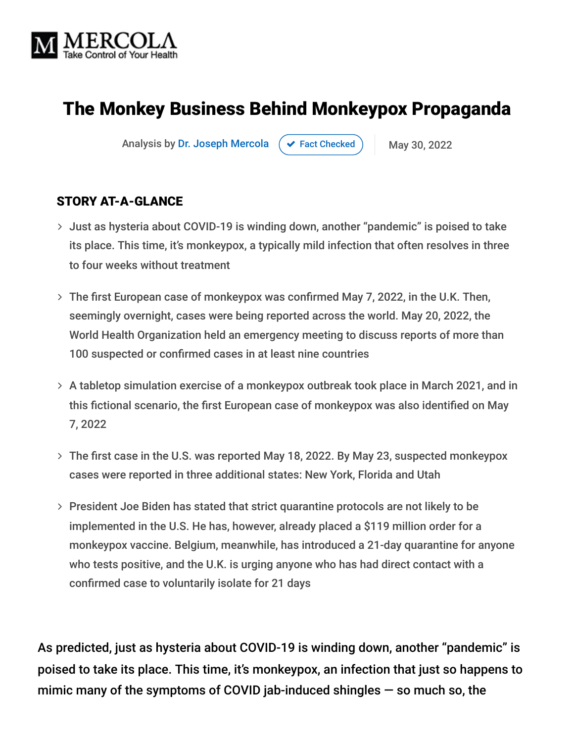

# The Monkey Business Behind Monkeypox Propaganda

Analysis by [Dr. Joseph Mercola](https://www.mercola.com/forms/background.htm)  $\left( \right. \times$  [Fact Checked](javascript:void(0))  $\left. \right)$  May 30, 2022

#### STORY AT-A-GLANCE

- Just as hysteria about COVID-19 is winding down, another "pandemic" is poised to take its place. This time, it's monkeypox, a typically mild infection that often resolves in three to four weeks without treatment
- The first European case of monkeypox was confirmed May 7, 2022, in the U.K. Then, seemingly overnight, cases were being reported across the world. May 20, 2022, the World Health Organization held an emergency meeting to discuss reports of more than 100 suspected or confirmed cases in at least nine countries
- A tabletop simulation exercise of a monkeypox outbreak took place in March 2021, and in this fictional scenario, the first European case of monkeypox was also identified on May 7, 2022
- The first case in the U.S. was reported May 18, 2022. By May 23, suspected monkeypox cases were reported in three additional states: New York, Florida and Utah
- President Joe Biden has stated that strict quarantine protocols are not likely to be implemented in the U.S. He has, however, already placed a \$119 million order for a monkeypox vaccine. Belgium, meanwhile, has introduced a 21-day quarantine for anyone who tests positive, and the U.K. is urging anyone who has had direct contact with a confirmed case to voluntarily isolate for 21 days

As predicted, just as hysteria about COVID-19 is winding down, another "pandemic" is poised to take its place. This time, it's monkeypox, an infection that just so happens to mimic many of the symptoms of COVID jab-induced shingles — so much so, the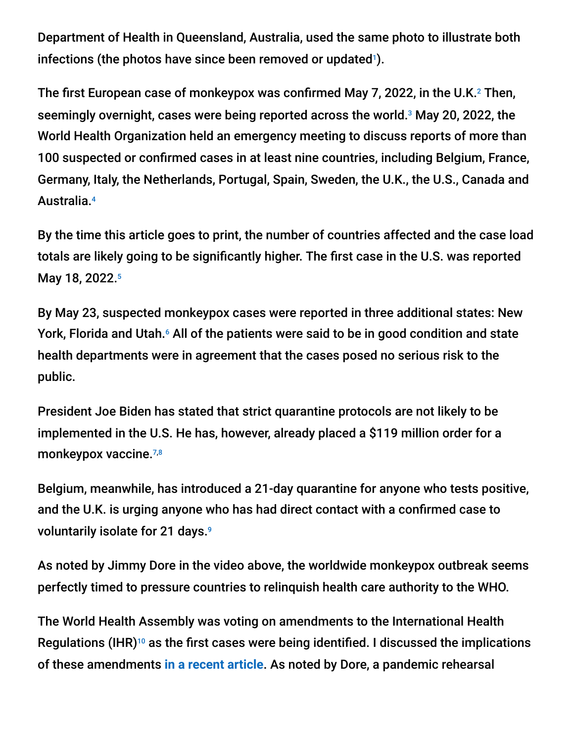Department of Health in Queensland, Australia, used the same photo to illustrate both infections (the photos have since been removed or updated $\mathsf{I}$ ).

The first European case of monkeypox was confirmed May 7, 2022, in the U.K. $^2$  Then, seemingly overnight, cases were being reported across the world. $3$  May 20, 2022, the World Health Organization held an emergency meeting to discuss reports of more than 100 suspected or confirmed cases in at least nine countries, including Belgium, France, Germany, Italy, the Netherlands, Portugal, Spain, Sweden, the U.K., the U.S., Canada and Australia. 4

By the time this article goes to print, the number of countries affected and the case load totals are likely going to be significantly higher. The first case in the U.S. was reported May 18, 2022. 5

By May 23, suspected monkeypox cases were reported in three additional states: New York, Florida and Utah.<sup>6</sup> All of the patients were said to be in good condition and state health departments were in agreement that the cases posed no serious risk to the public.

President Joe Biden has stated that strict quarantine protocols are not likely to be implemented in the U.S. He has, however, already placed a \$119 million order for a monkeypox vaccine.<sup>7,8</sup>

Belgium, meanwhile, has introduced a 21-day quarantine for anyone who tests positive, and the U.K. is urging anyone who has had direct contact with a confirmed case to voluntarily isolate for 21 days. 9

As noted by Jimmy Dore in the video above, the worldwide monkeypox outbreak seems perfectly timed to pressure countries to relinquish health care authority to the WHO.

The World Health Assembly was voting on amendments to the International Health Regulations (IHR) $^{10}$  as the first cases were being identified. I discussed the implications of these amendments **[in a recent article](https://takecontrol.substack.com/p/gates-who-global-takeover)**. As noted by Dore, a pandemic rehearsal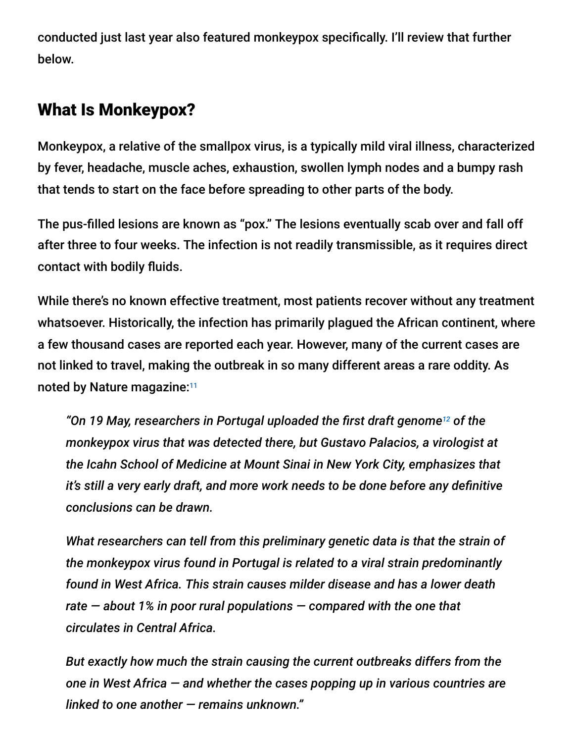conducted just last year also featured monkeypox specifically. I'll review that further below.

### What Is Monkeypox?

Monkeypox, a relative of the smallpox virus, is a typically mild viral illness, characterized by fever, headache, muscle aches, exhaustion, swollen lymph nodes and a bumpy rash that tends to start on the face before spreading to other parts of the body.

The pus-filled lesions are known as "pox." The lesions eventually scab over and fall off after three to four weeks. The infection is not readily transmissible, as it requires direct contact with bodily fluids.

While there's no known effective treatment, most patients recover without any treatment whatsoever. Historically, the infection has primarily plagued the African continent, where a few thousand cases are reported each year. However, many of the current cases are not linked to travel, making the outbreak in so many different areas a rare oddity. As noted by Nature magazine:<sup>11</sup>

"On 19 May, researchers in Portugal uploaded the first draft genome<sup>12</sup> of the *monkeypox virus that was detected there, but Gustavo Palacios, a virologist at the Icahn School of Medicine at Mount Sinai in New York City, emphasizes that it's still a very early draft, and more work needs to be done before any definitive conclusions can be drawn.*

*What researchers can tell from this preliminary genetic data is that the strain of the monkeypox virus found in Portugal is related to a viral strain predominantly found in West Africa. This strain causes milder disease and has a lower death rate — about 1% in poor rural populations — compared with the one that circulates in Central Africa.*

*But exactly how much the strain causing the current outbreaks differs from the one in West Africa — and whether the cases popping up in various countries are linked to one another — remains unknown."*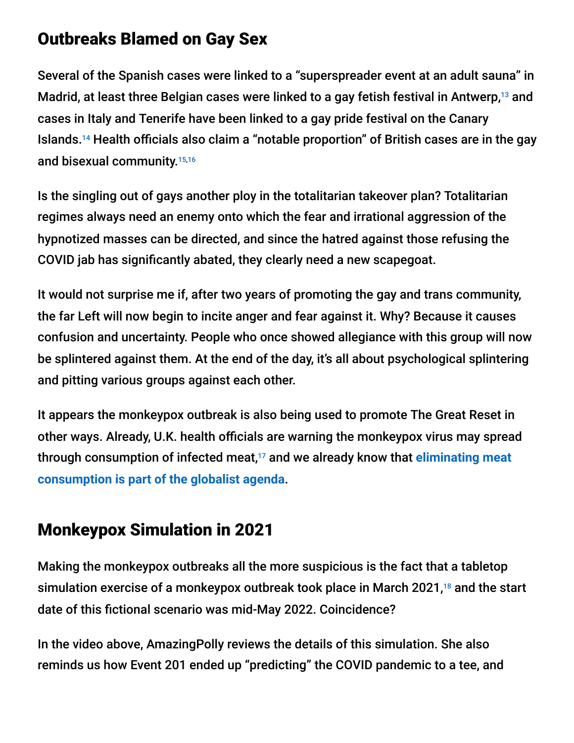### Outbreaks Blamed on Gay Sex

Several of the Spanish cases were linked to a "superspreader event at an adult sauna" in Madrid, at least three Belgian cases were linked to a gay fetish festival in Antwerp, $^{13}$  and cases in Italy and Tenerife have been linked to a gay pride festival on the Canary Islands.<sup>14</sup> Health officials also claim a "notable proportion" of British cases are in the gay and bisexual community. 15,16

Is the singling out of gays another ploy in the totalitarian takeover plan? Totalitarian regimes always need an enemy onto which the fear and irrational aggression of the hypnotized masses can be directed, and since the hatred against those refusing the COVID jab has significantly abated, they clearly need a new scapegoat.

It would not surprise me if, after two years of promoting the gay and trans community, the far Left will now begin to incite anger and fear against it. Why? Because it causes confusion and uncertainty. People who once showed allegiance with this group will now be splintered against them. At the end of the day, it's all about psychological splintering and pitting various groups against each other.

It appears the monkeypox outbreak is also being used to promote The Great Reset in other ways. Already, U.K. health officials are warning the monkeypox virus may spread through consumption of infected meat,<sup>17</sup> and we already know that <mark>eliminating meat</mark> **consumption is part of the globalist agenda**.

## Monkeypox Simulation in 2021

Making the monkeypox outbreaks all the more suspicious is the fact that a tabletop simulation exercise of a monkeypox outbreak took place in March 2021, $^{18}$  and the start date of this fictional scenario was mid-May 2022. Coincidence?

In the video above, AmazingPolly reviews the details of this simulation. She also reminds us how Event 201 ended up "predicting" the COVID pandemic to a tee, and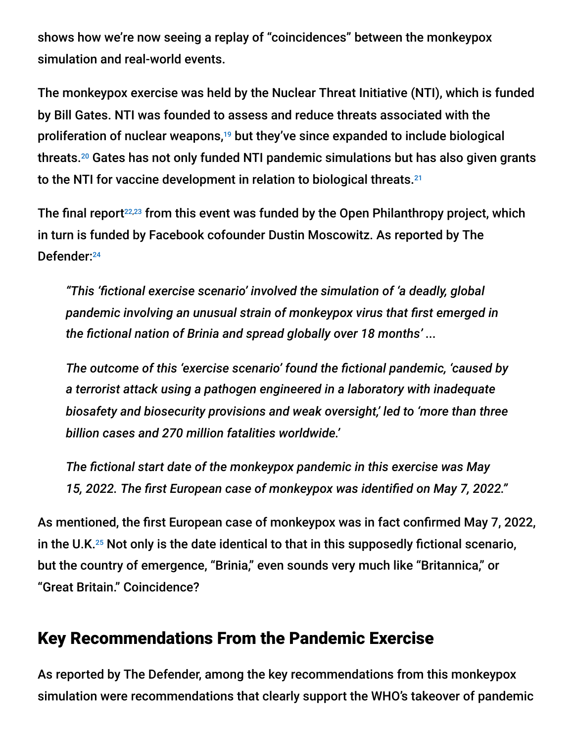shows how we're now seeing a replay of "coincidences" between the monkeypox simulation and real-world events.

The monkeypox exercise was held by the Nuclear Threat Initiative (NTI), which is funded by Bill Gates. NTI was founded to assess and reduce threats associated with the proliferation of nuclear weapons,<sup>19</sup> but they've since expanded to include biological threats.<sup>20</sup> Gates has not only funded NTI pandemic simulations but has also given grants to the NTI for vaccine development in relation to biological threats. 21

The final report<sup>22,23</sup> from this event was funded by the Open Philanthropy project, which in turn is funded by Facebook cofounder Dustin Moscowitz. As reported by The Defender: 24

*"This 'fictional exercise scenario' involved the simulation of 'a deadly, global pandemic involving an unusual strain of monkeypox virus that first emerged in the fictional nation of Brinia and spread globally over 18 months' ...*

*The outcome of this 'exercise scenario' found the fictional pandemic, 'caused by a terrorist attack using a pathogen engineered in a laboratory with inadequate biosafety and biosecurity provisions and weak oversight,' led to 'more than three billion cases and 270 million fatalities worldwide.'*

*The fictional start date of the monkeypox pandemic in this exercise was May 15, 2022. The first European case of monkeypox was identified on May 7, 2022."*

As mentioned, the first European case of monkeypox was in fact confirmed May 7, 2022, in the U.K. $25$  Not only is the date identical to that in this supposedly fictional scenario, but the country of emergence, "Brinia," even sounds very much like "Britannica," or "Great Britain." Coincidence?

### Key Recommendations From the Pandemic Exercise

As reported by The Defender, among the key recommendations from this monkeypox simulation were recommendations that clearly support the WHO's takeover of pandemic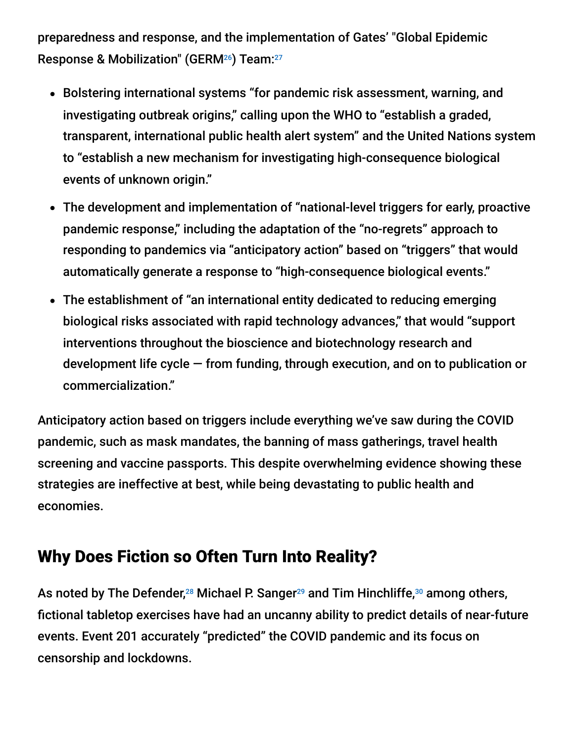preparedness and response, and the implementation of Gates' "Global Epidemic Response & Mobilization" (GERM<sup>26</sup>) Team:<sup>27</sup>

- Bolstering international systems "for pandemic risk assessment, warning, and investigating outbreak origins," calling upon the WHO to "establish a graded, transparent, international public health alert system" and the United Nations system to "establish a new mechanism for investigating high-consequence biological events of unknown origin."
- The development and implementation of "national-level triggers for early, proactive pandemic response," including the adaptation of the "no-regrets" approach to responding to pandemics via "anticipatory action" based on "triggers" that would automatically generate a response to "high-consequence biological events."
- The establishment of "an international entity dedicated to reducing emerging biological risks associated with rapid technology advances," that would "support interventions throughout the bioscience and biotechnology research and development life cycle — from funding, through execution, and on to publication or commercialization."

Anticipatory action based on triggers include everything we've saw during the COVID pandemic, such as mask mandates, the banning of mass gatherings, travel health screening and vaccine passports. This despite overwhelming evidence showing these strategies are ineffective at best, while being devastating to public health and economies.

## Why Does Fiction so Often Turn Into Reality?

As noted by The Defender,<sup>28</sup> Michael P. Sanger<sup>29</sup> and Tim Hinchliffe,<sup>30</sup> among others, fictional tabletop exercises have had an uncanny ability to predict details of near-future events. Event 201 accurately "predicted" the COVID pandemic and its focus on censorship and lockdowns.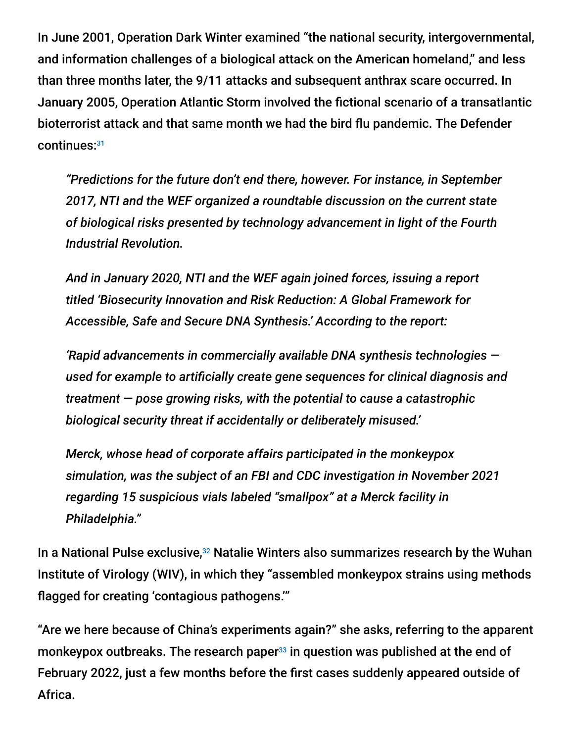In June 2001, Operation Dark Winter examined "the national security, intergovernmental, and information challenges of a biological attack on the American homeland," and less than three months later, the 9/11 attacks and subsequent anthrax scare occurred. In January 2005, Operation Atlantic Storm involved the fictional scenario of a transatlantic bioterrorist attack and that same month we had the bird flu pandemic. The Defender continues: 31

*"Predictions for the future don't end there, however. For instance, in September 2017, NTI and the WEF organized a roundtable discussion on the current state of biological risks presented by technology advancement in light of the Fourth Industrial Revolution.*

*And in January 2020, NTI and the WEF again joined forces, issuing a report titled 'Biosecurity Innovation and Risk Reduction: A Global Framework for Accessible, Safe and Secure DNA Synthesis.' According to the report:*

*'Rapid advancements in commercially available DNA synthesis technologies used for example to artificially create gene sequences for clinical diagnosis and treatment — pose growing risks, with the potential to cause a catastrophic biological security threat if accidentally or deliberately misused.'*

*Merck, whose head of corporate affairs participated in the monkeypox simulation, was the subject of an FBI and CDC investigation in November 2021 regarding 15 suspicious vials labeled "smallpox" at a Merck facility in Philadelphia."*

In a National Pulse exclusive,<sup>32</sup> Natalie Winters also summarizes research by the Wuhan Institute of Virology (WIV), in which they "assembled monkeypox strains using methods flagged for creating 'contagious pathogens.'"

"Are we here because of China's experiments again?" she asks, referring to the apparent monkeypox outbreaks. The research paper $^{33}$  in question was published at the end of February 2022, just a few months before the first cases suddenly appeared outside of Africa.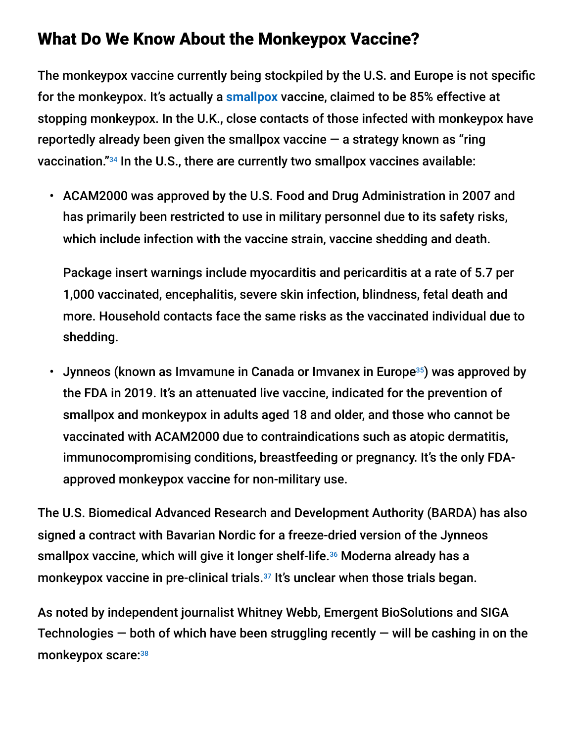### What Do We Know About the Monkeypox Vaccine?

The monkeypox vaccine currently being stockpiled by the U.S. and Europe is not specific for the monkeypox. It's actually a **[smallpox](https://takecontrol.substack.com/p/smallpox-next-lab-leak?s=w)** vaccine, claimed to be 85% effective at stopping monkeypox. In the U.K., close contacts of those infected with monkeypox have reportedly already been given the smallpox vaccine  $-$  a strategy known as "ring" vaccination."<sup>34</sup> In the U.S., there are currently two smallpox vaccines available:

• ACAM2000 was approved by the U.S. Food and Drug Administration in 2007 and has primarily been restricted to use in military personnel due to its safety risks, which include infection with the vaccine strain, vaccine shedding and death.

Package insert warnings include myocarditis and pericarditis at a rate of 5.7 per 1,000 vaccinated, encephalitis, severe skin infection, blindness, fetal death and more. Household contacts face the same risks as the vaccinated individual due to shedding.

• Jynneos (known as Imvamune in Canada or Imvanex in Europe<sup>35</sup>) was approved by the FDA in 2019. It's an attenuated live vaccine, indicated for the prevention of smallpox and monkeypox in adults aged 18 and older, and those who cannot be vaccinated with ACAM2000 due to contraindications such as atopic dermatitis, immunocompromising conditions, breastfeeding or pregnancy. It's the only FDAapproved monkeypox vaccine for non-military use.

The U.S. Biomedical Advanced Research and Development Authority (BARDA) has also signed a contract with Bavarian Nordic for a freeze-dried version of the Jynneos smallpox vaccine, which will give it longer shelf-life.<sup>36</sup> Moderna already has a monkeypox vaccine in pre-clinical trials.<sup>37</sup> It's unclear when those trials began.

As noted by independent journalist Whitney Webb, Emergent BioSolutions and SIGA Technologies  $-$  both of which have been struggling recently  $-$  will be cashing in on the monkeypox scare:<sup>38</sup>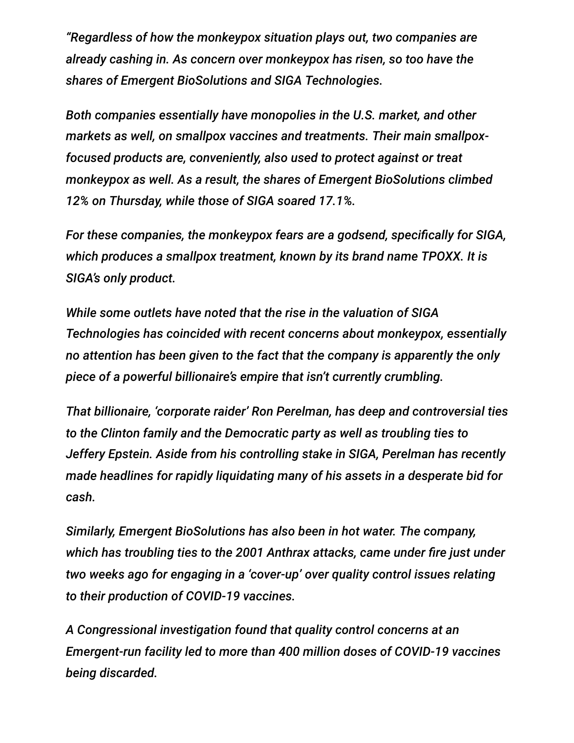*"Regardless of how the monkeypox situation plays out, two companies are already cashing in. As concern over monkeypox has risen, so too have the shares of Emergent BioSolutions and SIGA Technologies.*

*Both companies essentially have monopolies in the U.S. market, and other markets as well, on smallpox vaccines and treatments. Their main smallpoxfocused products are, conveniently, also used to protect against or treat monkeypox as well. As a result, the shares of Emergent BioSolutions climbed 12% on Thursday, while those of SIGA soared 17.1%.*

*For these companies, the monkeypox fears are a godsend, specifically for SIGA, which produces a smallpox treatment, known by its brand name TPOXX. It is SIGA's only product.*

*While some outlets have noted that the rise in the valuation of SIGA Technologies has coincided with recent concerns about monkeypox, essentially no attention has been given to the fact that the company is apparently the only piece of a powerful billionaire's empire that isn't currently crumbling.*

*That billionaire, 'corporate raider' Ron Perelman, has deep and controversial ties to the Clinton family and the Democratic party as well as troubling ties to Jeffery Epstein. Aside from his controlling stake in SIGA, Perelman has recently made headlines for rapidly liquidating many of his assets in a desperate bid for cash.*

*Similarly, Emergent BioSolutions has also been in hot water. The company, which has troubling ties to the 2001 Anthrax attacks, came under fire just under two weeks ago for engaging in a 'cover-up' over quality control issues relating to their production of COVID-19 vaccines.*

*A Congressional investigation found that quality control concerns at an Emergent-run facility led to more than 400 million doses of COVID-19 vaccines being discarded.*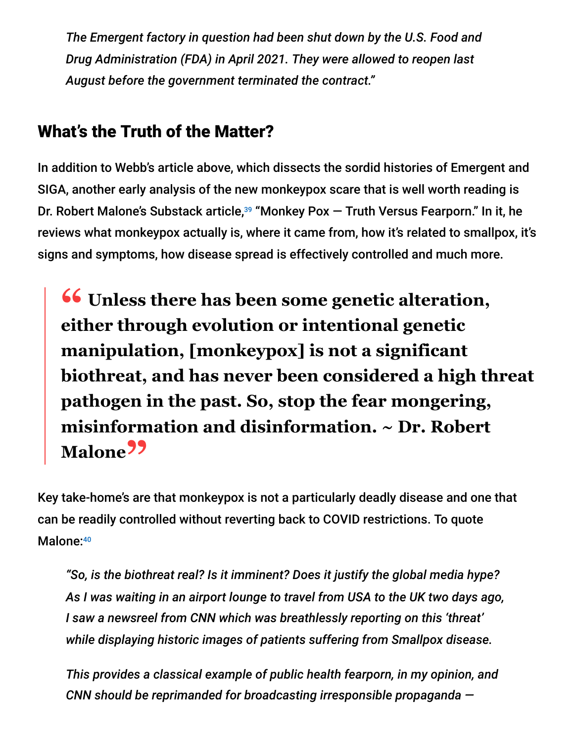*The Emergent factory in question had been shut down by the U.S. Food and Drug Administration (FDA) in April 2021. They were allowed to reopen last August before the government terminated the contract."*

## What's the Truth of the Matter?

In addition to Webb's article above, which dissects the sordid histories of Emergent and SIGA, another early analysis of the new monkeypox scare that is well worth reading is Dr. Robert Malone's Substack article,<sup>39</sup> "Monkey Pox — Truth Versus Fearporn." In it, he reviews what monkeypox actually is, where it came from, how it's related to smallpox, it's signs and symptoms, how disease spread is effectively controlled and much more.

**<sup>66</sup>** Unless there has been some genetic alteration,<br>either through evolution or intentional genetic **either through evolution or intentional genetic manipulation, [monkeypox] is not a significant biothreat, and has never been considered a high threat pathogen in the past. So, stop the fear mongering, misinformation and disinformation. ~ Dr. Robert Malone"**

Key take-home's are that monkeypox is not a particularly deadly disease and one that can be readily controlled without reverting back to COVID restrictions. To quote Malone: 40

*"So, is the biothreat real? Is it imminent? Does it justify the global media hype? As I was waiting in an airport lounge to travel from USA to the UK two days ago, I saw a newsreel from CNN which was breathlessly reporting on this 'threat' while displaying historic images of patients suffering from Smallpox disease.*

*This provides a classical example of public health fearporn, in my opinion, and CNN should be reprimanded for broadcasting irresponsible propaganda —*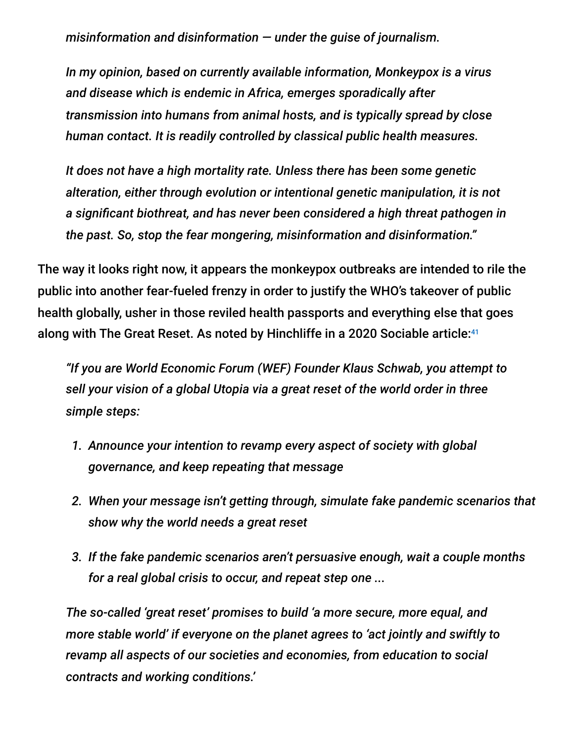*misinformation and disinformation — under the guise of journalism.*

*In my opinion, based on currently available information, Monkeypox is a virus and disease which is endemic in Africa, emerges sporadically after transmission into humans from animal hosts, and is typically spread by close human contact. It is readily controlled by classical public health measures.*

*It does not have a high mortality rate. Unless there has been some genetic alteration, either through evolution or intentional genetic manipulation, it is not a significant biothreat, and has never been considered a high threat pathogen in the past. So, stop the fear mongering, misinformation and disinformation."*

The way it looks right now, it appears the monkeypox outbreaks are intended to rile the public into another fear-fueled frenzy in order to justify the WHO's takeover of public health globally, usher in those reviled health passports and everything else that goes along with The Great Reset. As noted by Hinchliffe in a 2020 Sociable article: 41

*"If you are World Economic Forum (WEF) Founder Klaus Schwab, you attempt to sell your vision of a global Utopia via a great reset of the world order in three simple steps:*

- *1. Announce your intention to revamp every aspect of society with global governance, and keep repeating that message*
- *2. When your message isn't getting through, simulate fake pandemic scenarios that show why the world needs a great reset*
- *3. If the fake pandemic scenarios aren't persuasive enough, wait a couple months for a real global crisis to occur, and repeat step one ...*

*The so-called 'great reset' promises to build 'a more secure, more equal, and more stable world' if everyone on the planet agrees to 'act jointly and swiftly to revamp all aspects of our societies and economies, from education to social contracts and working conditions.'*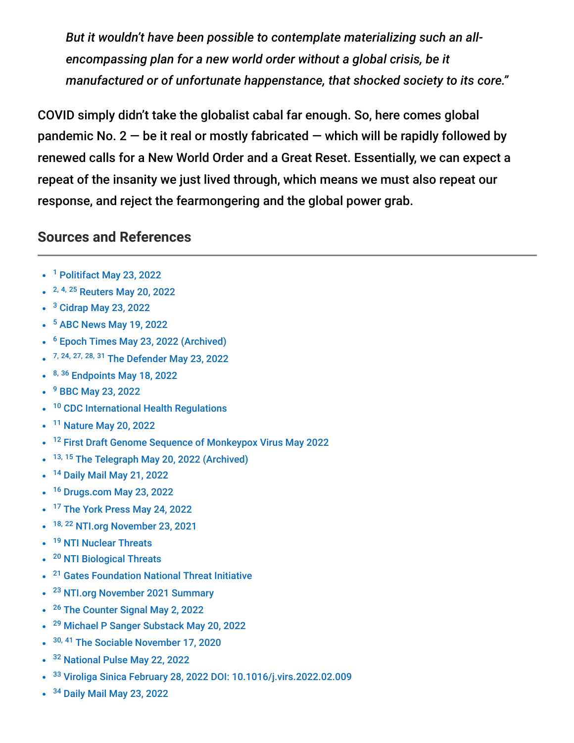*But it wouldn't have been possible to contemplate materializing such an allencompassing plan for a new world order without a global crisis, be it manufactured or of unfortunate happenstance, that shocked society to its core."*

COVID simply didn't take the globalist cabal far enough. So, here comes global pandemic No.  $2 - be$  it real or mostly fabricated  $-$  which will be rapidly followed by renewed calls for a New World Order and a Great Reset. Essentially, we can expect a repeat of the insanity we just lived through, which means we must also repeat our response, and reject the fearmongering and the global power grab.

#### **Sources and References**

- <sup>1</sup> [Politifact May 23, 2022](https://www.politifact.com/factchecks/2022/may/23/facebook-posts/misused-shingles-photo-fuels-conspiracy-theory-abo/)
- <sup>2, 4, 25</sup> [Reuters May 20, 2022](https://www.reuters.com/world/europe/monkeypox-outbreak-europe-largest-ever-region-cases-cross-100-2022-05-20/)
- <sup>3</sup> [Cidrap May 23, 2022](https://www.cidrap.umn.edu/news-perspective/2022/05/monkeypox-cases-increase-across-europe-north-america)
- <sup>5</sup> [ABC News May 19, 2022](https://abcnews.go.com/Health/massachusetts-man-tests-positive-monkeypox/story?id=84817514)
- <sup>6</sup> [Epoch Times May 23, 2022 \(Archived\)](https://archive.ph/9ej8w)
- 7, 24, 27, 28, 31 [The Defender May 23, 2022](https://childrenshealthdefense.org/defender/monkeypox-gates-foundation-who-pharma-execs-monkeypox-pandemic-simulation/)
- 8, 36 [Endpoints May 18, 2022](https://endpts.com/bavarian-nordic-laps-up-barda-secures-contract-for-vaccine-production/)
- <sup>9</sup> [BBC May 23, 2022](https://www.bbc.com/news/uk-61546480)
- <sup>10</sup> [CDC International Health Regulations](https://www.cdc.gov/globalhealth/healthprotection/ghs/ihr/index.html)
- <sup>11</sup> [Nature May 20, 2022](https://www.nature.com/articles/d41586-022-01421-8)
- <sup>12</sup> [First Draft Genome Sequence of Monkeypox Virus May 2022](https://virological.org/t/first-draft-genome-sequence-of-monkeypox-virus-associated-with-the-suspected-multi-country-outbreak-may-2022-confirmed-case-in-portugal/799)
- <sup>13, 15</sup> [The Telegraph May 20, 2022 \(Archived\)](https://archive.ph/1QZsM#selection-1463.0-1463.79)
- <sup>14</sup> [Daily Mail May 21, 2022](https://www.dailymail.co.uk/news/article-10839877/Monkeypox-outbreak-Europes-biggest-100-cases-reported.html)  $\bullet$
- <sup>16</sup> [Drugs.com May 23, 2022](https://www.drugs.com/news/gay-community-most-vulnerable-monkeypox-threat-vaccines-available-soon-cdc-105565.html)
- <sup>17</sup> [The York Press May 24, 2022](https://www.yorkpress.co.uk/news/20160632.monkeypox-nhs-issues-warning-anyone-eats-meat-uk-cases-rise/)
- 18, 22 [NTI.org November 23, 2021](https://www.nti.org/analysis/articles/strengthening-global-systems-to-prevent-and-respond-to-high-consequence-biological-threats/)
- <sup>19</sup> [NTI Nuclear Threats](https://www.nti.org/area/nuclear/)  $\bullet$
- <sup>20</sup> [NTI Biological Threats](https://www.nti.org/area/biological/)  $\bullet$
- <sup>21</sup> [Gates Foundation National Threat Initiative](https://www.gatesfoundation.org/about/committed-grants/2017/10/opp1185378)
- <sup>23</sup> [NTI.org November 2021 Summary](https://www.nti.org/wp-content/uploads/2021/11/NTI_Paper_BIO-TTX_Final.pdf)
- <sup>26</sup> [The Counter Signal May 2, 2022](https://thecountersignal.com/bill-gates-germ-team/)
- <sup>29</sup> [Michael P Sanger Substack May 20, 2022](https://michaelpsenger.substack.com/p/the-prophetic-monkeypox-simulation?utm_source=email&s=r)
- <sup>30, 41</sup> [The Sociable November 17, 2020](https://sociable.co/government-and-policy/timeline-great-reset-agenda-event-201-pandemic-2020/)  $\bullet$
- <sup>32</sup> [National Pulse May 22, 2022](https://thenationalpulse.com/2022/05/22/wuhan-assembled-monkeypox-strains/)  $\bullet$
- <sup>33</sup> [Viroliga Sinica February 28, 2022 DOI: 10.1016/j.virs.2022.02.009](https://www.sciencedirect.com/science/article/pii/S1995820X22000414)
- <sup>34</sup> [Daily Mail May 23, 2022](https://www.dailymail.co.uk/news/article-10844809/EU-health-chiefs-tell-nations-prepare-vaccination-strategies-amid-scramble-contain-monkeypox.html)